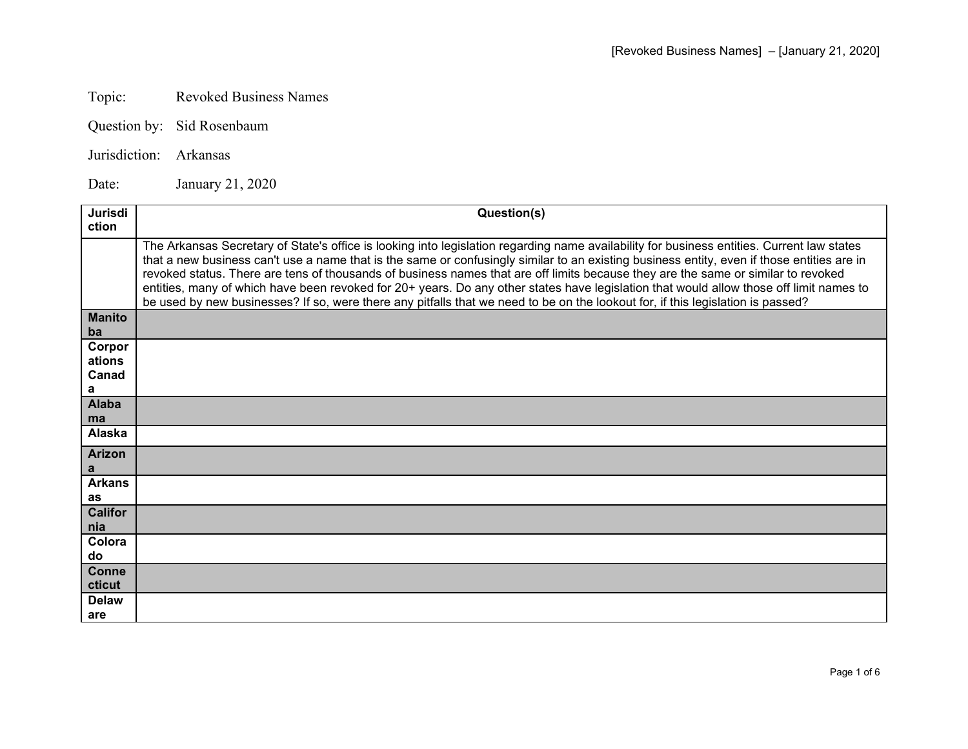## Topic: **Revoked Business Names**

Question by: Sid Rosenbaum

Jurisdiction: Arkansas

Date: January 21, 2020

| Jurisdi<br>ction               | Question(s)                                                                                                                                                                                                                                                                                                                                                                                                                                                                                                                                                                                                                                                                                                 |
|--------------------------------|-------------------------------------------------------------------------------------------------------------------------------------------------------------------------------------------------------------------------------------------------------------------------------------------------------------------------------------------------------------------------------------------------------------------------------------------------------------------------------------------------------------------------------------------------------------------------------------------------------------------------------------------------------------------------------------------------------------|
|                                | The Arkansas Secretary of State's office is looking into legislation regarding name availability for business entities. Current law states<br>that a new business can't use a name that is the same or confusingly similar to an existing business entity, even if those entities are in<br>revoked status. There are tens of thousands of business names that are off limits because they are the same or similar to revoked<br>entities, many of which have been revoked for 20+ years. Do any other states have legislation that would allow those off limit names to<br>be used by new businesses? If so, were there any pitfalls that we need to be on the lookout for, if this legislation is passed? |
| <b>Manito</b><br>ba            |                                                                                                                                                                                                                                                                                                                                                                                                                                                                                                                                                                                                                                                                                                             |
| Corpor<br>ations<br>Canad<br>a |                                                                                                                                                                                                                                                                                                                                                                                                                                                                                                                                                                                                                                                                                                             |
| <b>Alaba</b><br>ma             |                                                                                                                                                                                                                                                                                                                                                                                                                                                                                                                                                                                                                                                                                                             |
| <b>Alaska</b>                  |                                                                                                                                                                                                                                                                                                                                                                                                                                                                                                                                                                                                                                                                                                             |
| <b>Arizon</b><br>a             |                                                                                                                                                                                                                                                                                                                                                                                                                                                                                                                                                                                                                                                                                                             |
| <b>Arkans</b><br>as            |                                                                                                                                                                                                                                                                                                                                                                                                                                                                                                                                                                                                                                                                                                             |
| <b>Califor</b><br>nia          |                                                                                                                                                                                                                                                                                                                                                                                                                                                                                                                                                                                                                                                                                                             |
| Colora<br>do                   |                                                                                                                                                                                                                                                                                                                                                                                                                                                                                                                                                                                                                                                                                                             |
| <b>Conne</b><br>cticut         |                                                                                                                                                                                                                                                                                                                                                                                                                                                                                                                                                                                                                                                                                                             |
| <b>Delaw</b><br>are            |                                                                                                                                                                                                                                                                                                                                                                                                                                                                                                                                                                                                                                                                                                             |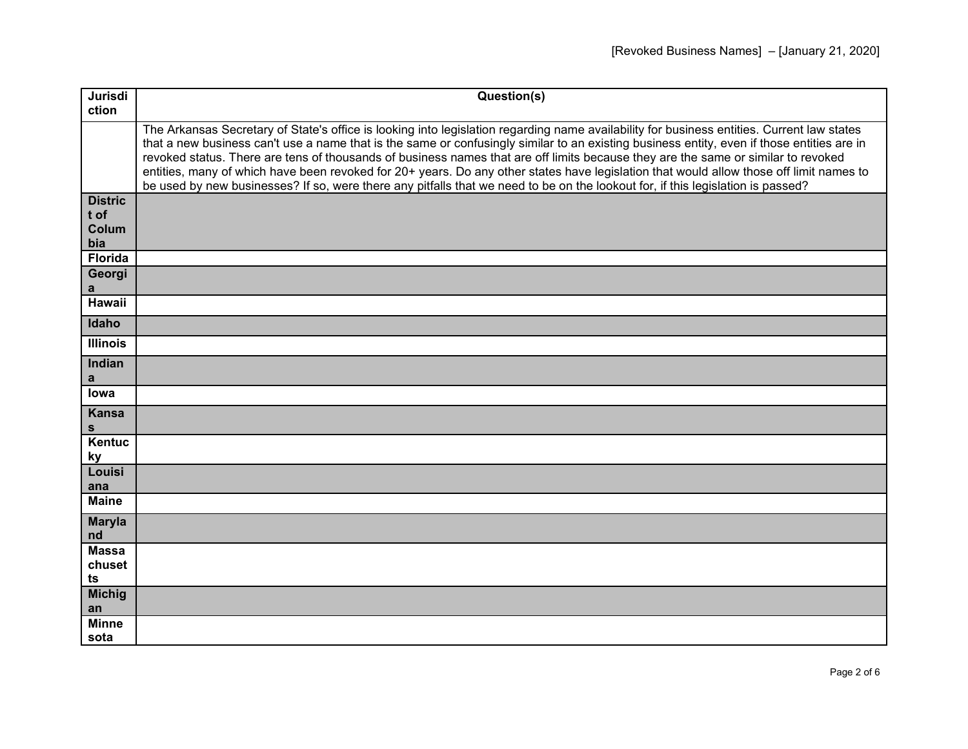| Jurisdi                                | Question(s)                                                                                                                                                                                                                                                                                                                                                                                                                                                                                                                                                                                                                                                                                                 |
|----------------------------------------|-------------------------------------------------------------------------------------------------------------------------------------------------------------------------------------------------------------------------------------------------------------------------------------------------------------------------------------------------------------------------------------------------------------------------------------------------------------------------------------------------------------------------------------------------------------------------------------------------------------------------------------------------------------------------------------------------------------|
| ction                                  |                                                                                                                                                                                                                                                                                                                                                                                                                                                                                                                                                                                                                                                                                                             |
|                                        | The Arkansas Secretary of State's office is looking into legislation regarding name availability for business entities. Current law states<br>that a new business can't use a name that is the same or confusingly similar to an existing business entity, even if those entities are in<br>revoked status. There are tens of thousands of business names that are off limits because they are the same or similar to revoked<br>entities, many of which have been revoked for 20+ years. Do any other states have legislation that would allow those off limit names to<br>be used by new businesses? If so, were there any pitfalls that we need to be on the lookout for, if this legislation is passed? |
| <b>Distric</b><br>t of<br>Colum<br>bia |                                                                                                                                                                                                                                                                                                                                                                                                                                                                                                                                                                                                                                                                                                             |
| <b>Florida</b>                         |                                                                                                                                                                                                                                                                                                                                                                                                                                                                                                                                                                                                                                                                                                             |
| Georgi<br>a                            |                                                                                                                                                                                                                                                                                                                                                                                                                                                                                                                                                                                                                                                                                                             |
| Hawaii                                 |                                                                                                                                                                                                                                                                                                                                                                                                                                                                                                                                                                                                                                                                                                             |
| Idaho                                  |                                                                                                                                                                                                                                                                                                                                                                                                                                                                                                                                                                                                                                                                                                             |
| <b>Illinois</b>                        |                                                                                                                                                                                                                                                                                                                                                                                                                                                                                                                                                                                                                                                                                                             |
| Indian<br>a                            |                                                                                                                                                                                                                                                                                                                                                                                                                                                                                                                                                                                                                                                                                                             |
| lowa                                   |                                                                                                                                                                                                                                                                                                                                                                                                                                                                                                                                                                                                                                                                                                             |
| <b>Kansa</b><br>s                      |                                                                                                                                                                                                                                                                                                                                                                                                                                                                                                                                                                                                                                                                                                             |
| Kentuc<br><u>ky</u>                    |                                                                                                                                                                                                                                                                                                                                                                                                                                                                                                                                                                                                                                                                                                             |
| Louisi<br>ana                          |                                                                                                                                                                                                                                                                                                                                                                                                                                                                                                                                                                                                                                                                                                             |
| <b>Maine</b>                           |                                                                                                                                                                                                                                                                                                                                                                                                                                                                                                                                                                                                                                                                                                             |
| <b>Maryla</b><br>nd                    |                                                                                                                                                                                                                                                                                                                                                                                                                                                                                                                                                                                                                                                                                                             |
| <b>Massa</b><br>chuset<br>ts           |                                                                                                                                                                                                                                                                                                                                                                                                                                                                                                                                                                                                                                                                                                             |
| <b>Michig</b><br>an                    |                                                                                                                                                                                                                                                                                                                                                                                                                                                                                                                                                                                                                                                                                                             |
| <b>Minne</b><br>sota                   |                                                                                                                                                                                                                                                                                                                                                                                                                                                                                                                                                                                                                                                                                                             |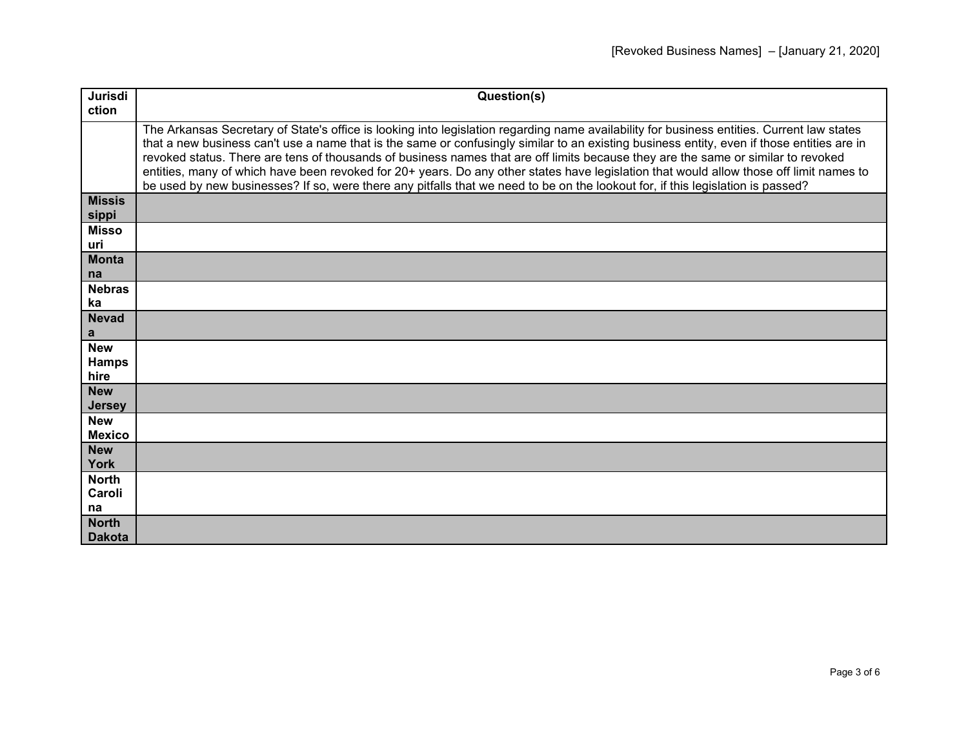| Jurisdi                     | Question(s)                                                                                                                                                                                                                                                                                                                                                                                                                                                                                                                                                                                                                                                                                                 |
|-----------------------------|-------------------------------------------------------------------------------------------------------------------------------------------------------------------------------------------------------------------------------------------------------------------------------------------------------------------------------------------------------------------------------------------------------------------------------------------------------------------------------------------------------------------------------------------------------------------------------------------------------------------------------------------------------------------------------------------------------------|
| ction                       |                                                                                                                                                                                                                                                                                                                                                                                                                                                                                                                                                                                                                                                                                                             |
|                             | The Arkansas Secretary of State's office is looking into legislation regarding name availability for business entities. Current law states<br>that a new business can't use a name that is the same or confusingly similar to an existing business entity, even if those entities are in<br>revoked status. There are tens of thousands of business names that are off limits because they are the same or similar to revoked<br>entities, many of which have been revoked for 20+ years. Do any other states have legislation that would allow those off limit names to<br>be used by new businesses? If so, were there any pitfalls that we need to be on the lookout for, if this legislation is passed? |
| <b>Missis</b><br>sippi      |                                                                                                                                                                                                                                                                                                                                                                                                                                                                                                                                                                                                                                                                                                             |
| <b>Misso</b><br>uri         |                                                                                                                                                                                                                                                                                                                                                                                                                                                                                                                                                                                                                                                                                                             |
| <b>Monta</b>                |                                                                                                                                                                                                                                                                                                                                                                                                                                                                                                                                                                                                                                                                                                             |
| na                          |                                                                                                                                                                                                                                                                                                                                                                                                                                                                                                                                                                                                                                                                                                             |
| <b>Nebras</b>               |                                                                                                                                                                                                                                                                                                                                                                                                                                                                                                                                                                                                                                                                                                             |
| ka                          |                                                                                                                                                                                                                                                                                                                                                                                                                                                                                                                                                                                                                                                                                                             |
| <b>Nevad</b><br>a           |                                                                                                                                                                                                                                                                                                                                                                                                                                                                                                                                                                                                                                                                                                             |
| <b>New</b>                  |                                                                                                                                                                                                                                                                                                                                                                                                                                                                                                                                                                                                                                                                                                             |
| <b>Hamps</b>                |                                                                                                                                                                                                                                                                                                                                                                                                                                                                                                                                                                                                                                                                                                             |
| hire                        |                                                                                                                                                                                                                                                                                                                                                                                                                                                                                                                                                                                                                                                                                                             |
| <b>New</b><br><b>Jersey</b> |                                                                                                                                                                                                                                                                                                                                                                                                                                                                                                                                                                                                                                                                                                             |
| <b>New</b>                  |                                                                                                                                                                                                                                                                                                                                                                                                                                                                                                                                                                                                                                                                                                             |
| <b>Mexico</b>               |                                                                                                                                                                                                                                                                                                                                                                                                                                                                                                                                                                                                                                                                                                             |
| <b>New</b>                  |                                                                                                                                                                                                                                                                                                                                                                                                                                                                                                                                                                                                                                                                                                             |
| <b>York</b>                 |                                                                                                                                                                                                                                                                                                                                                                                                                                                                                                                                                                                                                                                                                                             |
| <b>North</b>                |                                                                                                                                                                                                                                                                                                                                                                                                                                                                                                                                                                                                                                                                                                             |
| Caroli                      |                                                                                                                                                                                                                                                                                                                                                                                                                                                                                                                                                                                                                                                                                                             |
| na                          |                                                                                                                                                                                                                                                                                                                                                                                                                                                                                                                                                                                                                                                                                                             |
| <b>North</b>                |                                                                                                                                                                                                                                                                                                                                                                                                                                                                                                                                                                                                                                                                                                             |
| <b>Dakota</b>               |                                                                                                                                                                                                                                                                                                                                                                                                                                                                                                                                                                                                                                                                                                             |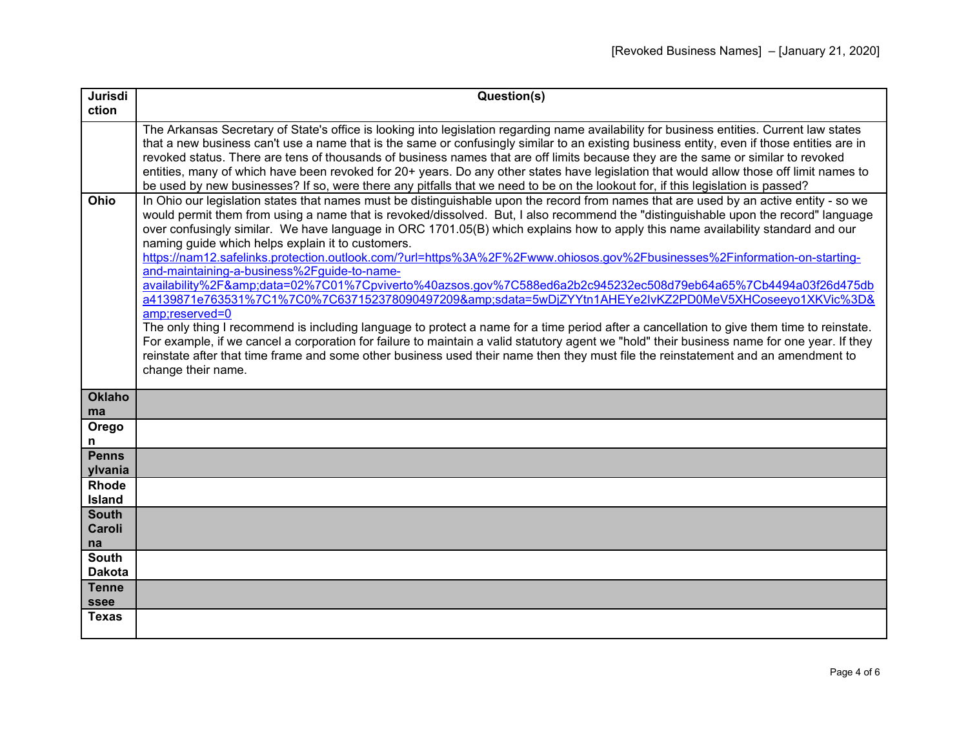| Jurisdi                       | Question(s)                                                                                                                                                                                                                                                                                                                                                                                                                                                                                                                                                                                                                                                                                                                                                                                                                                                                                                                                                                                                                                                                                                                                                                                                                                                                                                                                     |
|-------------------------------|-------------------------------------------------------------------------------------------------------------------------------------------------------------------------------------------------------------------------------------------------------------------------------------------------------------------------------------------------------------------------------------------------------------------------------------------------------------------------------------------------------------------------------------------------------------------------------------------------------------------------------------------------------------------------------------------------------------------------------------------------------------------------------------------------------------------------------------------------------------------------------------------------------------------------------------------------------------------------------------------------------------------------------------------------------------------------------------------------------------------------------------------------------------------------------------------------------------------------------------------------------------------------------------------------------------------------------------------------|
| ction                         |                                                                                                                                                                                                                                                                                                                                                                                                                                                                                                                                                                                                                                                                                                                                                                                                                                                                                                                                                                                                                                                                                                                                                                                                                                                                                                                                                 |
|                               | The Arkansas Secretary of State's office is looking into legislation regarding name availability for business entities. Current law states<br>that a new business can't use a name that is the same or confusingly similar to an existing business entity, even if those entities are in<br>revoked status. There are tens of thousands of business names that are off limits because they are the same or similar to revoked<br>entities, many of which have been revoked for 20+ years. Do any other states have legislation that would allow those off limit names to<br>be used by new businesses? If so, were there any pitfalls that we need to be on the lookout for, if this legislation is passed?                                                                                                                                                                                                                                                                                                                                                                                                                                                                                                                                                                                                                                     |
| Ohio                          | In Ohio our legislation states that names must be distinguishable upon the record from names that are used by an active entity - so we<br>would permit them from using a name that is revoked/dissolved. But, I also recommend the "distinguishable upon the record" language<br>over confusingly similar. We have language in ORC 1701.05(B) which explains how to apply this name availability standard and our<br>naming guide which helps explain it to customers.<br>https://nam12.safelinks.protection.outlook.com/?url=https%3A%2F%2Fwww.ohiosos.gov%2Fbusinesses%2Finformation-on-starting-<br>and-maintaining-a-business%2Fguide-to-name-<br>availability%2F&data=02%7C01%7Cpviverto%40azsos.gov%7C588ed6a2b2c945232ec508d79eb64a65%7Cb4494a03f26d475db<br>a4139871e763531%7C1%7C0%7C637152378090497209&sdata=5wDjZYYtn1AHEYe2lvKZ2PD0MeV5XHCoseeyo1XKVic%3D&<br>amp;reserved=0<br>The only thing I recommend is including language to protect a name for a time period after a cancellation to give them time to reinstate.<br>For example, if we cancel a corporation for failure to maintain a valid statutory agent we "hold" their business name for one year. If they<br>reinstate after that time frame and some other business used their name then they must file the reinstatement and an amendment to<br>change their name. |
| <b>Oklaho</b><br>ma           |                                                                                                                                                                                                                                                                                                                                                                                                                                                                                                                                                                                                                                                                                                                                                                                                                                                                                                                                                                                                                                                                                                                                                                                                                                                                                                                                                 |
| Orego<br>n                    |                                                                                                                                                                                                                                                                                                                                                                                                                                                                                                                                                                                                                                                                                                                                                                                                                                                                                                                                                                                                                                                                                                                                                                                                                                                                                                                                                 |
| <b>Penns</b><br>ylvania       |                                                                                                                                                                                                                                                                                                                                                                                                                                                                                                                                                                                                                                                                                                                                                                                                                                                                                                                                                                                                                                                                                                                                                                                                                                                                                                                                                 |
| <b>Rhode</b><br><b>Island</b> |                                                                                                                                                                                                                                                                                                                                                                                                                                                                                                                                                                                                                                                                                                                                                                                                                                                                                                                                                                                                                                                                                                                                                                                                                                                                                                                                                 |
| <b>South</b><br>Caroli<br>na  |                                                                                                                                                                                                                                                                                                                                                                                                                                                                                                                                                                                                                                                                                                                                                                                                                                                                                                                                                                                                                                                                                                                                                                                                                                                                                                                                                 |
| <b>South</b><br><b>Dakota</b> |                                                                                                                                                                                                                                                                                                                                                                                                                                                                                                                                                                                                                                                                                                                                                                                                                                                                                                                                                                                                                                                                                                                                                                                                                                                                                                                                                 |
| <b>Tenne</b><br>ssee          |                                                                                                                                                                                                                                                                                                                                                                                                                                                                                                                                                                                                                                                                                                                                                                                                                                                                                                                                                                                                                                                                                                                                                                                                                                                                                                                                                 |
| <b>Texas</b>                  |                                                                                                                                                                                                                                                                                                                                                                                                                                                                                                                                                                                                                                                                                                                                                                                                                                                                                                                                                                                                                                                                                                                                                                                                                                                                                                                                                 |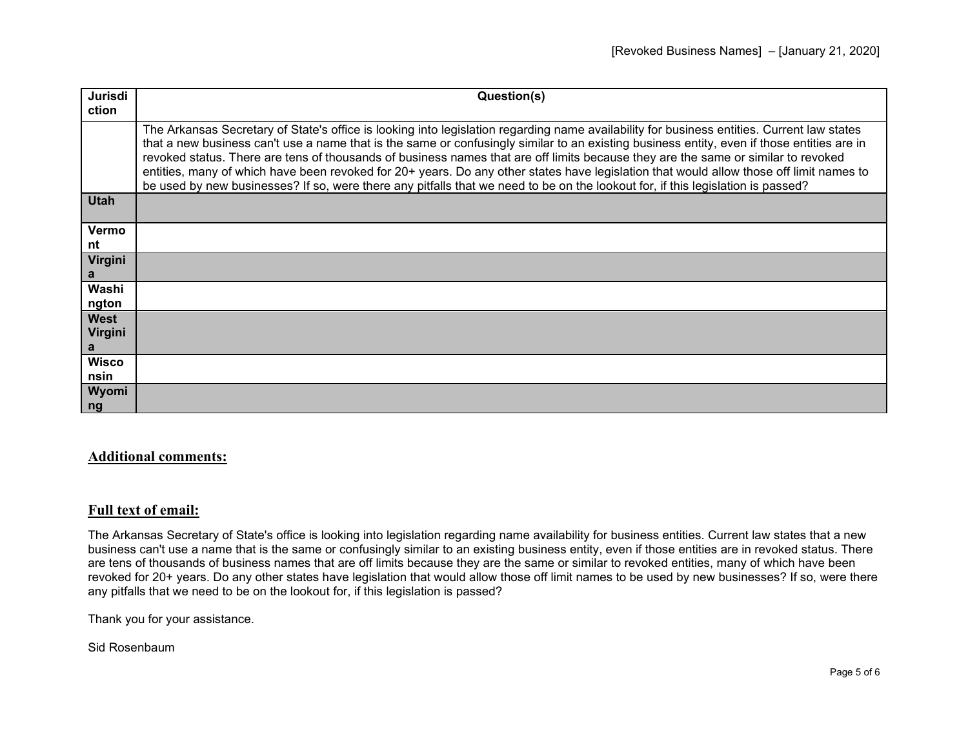| Jurisdi      | Question(s)                                                                                                                                                                                                                                                                                                                                                                                                                                                                                                                                                                                                                                                                                                 |
|--------------|-------------------------------------------------------------------------------------------------------------------------------------------------------------------------------------------------------------------------------------------------------------------------------------------------------------------------------------------------------------------------------------------------------------------------------------------------------------------------------------------------------------------------------------------------------------------------------------------------------------------------------------------------------------------------------------------------------------|
| ction        |                                                                                                                                                                                                                                                                                                                                                                                                                                                                                                                                                                                                                                                                                                             |
|              |                                                                                                                                                                                                                                                                                                                                                                                                                                                                                                                                                                                                                                                                                                             |
|              | The Arkansas Secretary of State's office is looking into legislation regarding name availability for business entities. Current law states<br>that a new business can't use a name that is the same or confusingly similar to an existing business entity, even if those entities are in<br>revoked status. There are tens of thousands of business names that are off limits because they are the same or similar to revoked<br>entities, many of which have been revoked for 20+ years. Do any other states have legislation that would allow those off limit names to<br>be used by new businesses? If so, were there any pitfalls that we need to be on the lookout for, if this legislation is passed? |
| <b>Utah</b>  |                                                                                                                                                                                                                                                                                                                                                                                                                                                                                                                                                                                                                                                                                                             |
| Vermo        |                                                                                                                                                                                                                                                                                                                                                                                                                                                                                                                                                                                                                                                                                                             |
| nt           |                                                                                                                                                                                                                                                                                                                                                                                                                                                                                                                                                                                                                                                                                                             |
| Virgini      |                                                                                                                                                                                                                                                                                                                                                                                                                                                                                                                                                                                                                                                                                                             |
| a            |                                                                                                                                                                                                                                                                                                                                                                                                                                                                                                                                                                                                                                                                                                             |
| Washi        |                                                                                                                                                                                                                                                                                                                                                                                                                                                                                                                                                                                                                                                                                                             |
| ngton        |                                                                                                                                                                                                                                                                                                                                                                                                                                                                                                                                                                                                                                                                                                             |
| <b>West</b>  |                                                                                                                                                                                                                                                                                                                                                                                                                                                                                                                                                                                                                                                                                                             |
| Virgini      |                                                                                                                                                                                                                                                                                                                                                                                                                                                                                                                                                                                                                                                                                                             |
| a            |                                                                                                                                                                                                                                                                                                                                                                                                                                                                                                                                                                                                                                                                                                             |
| <b>Wisco</b> |                                                                                                                                                                                                                                                                                                                                                                                                                                                                                                                                                                                                                                                                                                             |
| nsin         |                                                                                                                                                                                                                                                                                                                                                                                                                                                                                                                                                                                                                                                                                                             |
| Wyomi        |                                                                                                                                                                                                                                                                                                                                                                                                                                                                                                                                                                                                                                                                                                             |
| ng           |                                                                                                                                                                                                                                                                                                                                                                                                                                                                                                                                                                                                                                                                                                             |

## **Additional comments:**

## **Full text of email:**

The Arkansas Secretary of State's office is looking into legislation regarding name availability for business entities. Current law states that a new business can't use a name that is the same or confusingly similar to an existing business entity, even if those entities are in revoked status. There are tens of thousands of business names that are off limits because they are the same or similar to revoked entities, many of which have been revoked for 20+ years. Do any other states have legislation that would allow those off limit names to be used by new businesses? If so, were there any pitfalls that we need to be on the lookout for, if this legislation is passed?

Thank you for your assistance.

Sid Rosenbaum